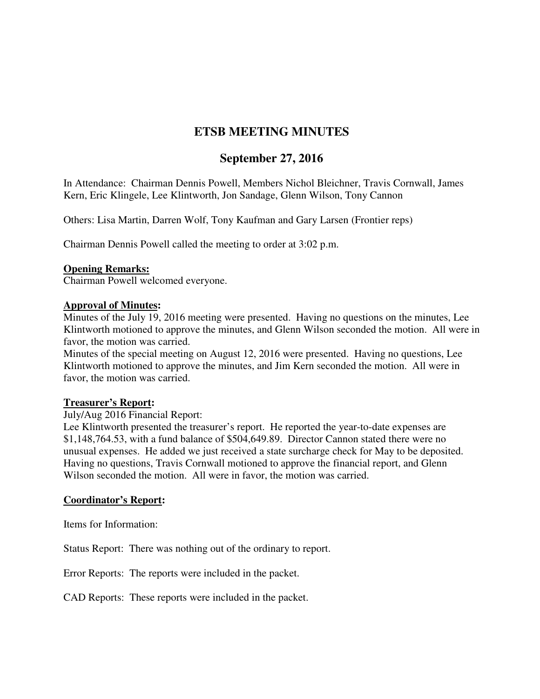# **ETSB MEETING MINUTES**

## **September 27, 2016**

In Attendance: Chairman Dennis Powell, Members Nichol Bleichner, Travis Cornwall, James Kern, Eric Klingele, Lee Klintworth, Jon Sandage, Glenn Wilson, Tony Cannon

Others: Lisa Martin, Darren Wolf, Tony Kaufman and Gary Larsen (Frontier reps)

Chairman Dennis Powell called the meeting to order at 3:02 p.m.

#### **Opening Remarks:**

Chairman Powell welcomed everyone.

#### **Approval of Minutes:**

Minutes of the July 19, 2016 meeting were presented. Having no questions on the minutes, Lee Klintworth motioned to approve the minutes, and Glenn Wilson seconded the motion. All were in favor, the motion was carried.

Minutes of the special meeting on August 12, 2016 were presented. Having no questions, Lee Klintworth motioned to approve the minutes, and Jim Kern seconded the motion. All were in favor, the motion was carried.

#### **Treasurer's Report:**

#### July/Aug 2016 Financial Report:

Lee Klintworth presented the treasurer's report. He reported the year-to-date expenses are \$1,148,764.53, with a fund balance of \$504,649.89. Director Cannon stated there were no unusual expenses. He added we just received a state surcharge check for May to be deposited. Having no questions, Travis Cornwall motioned to approve the financial report, and Glenn Wilson seconded the motion. All were in favor, the motion was carried.

#### **Coordinator's Report:**

Items for Information:

Status Report: There was nothing out of the ordinary to report.

Error Reports: The reports were included in the packet.

CAD Reports: These reports were included in the packet.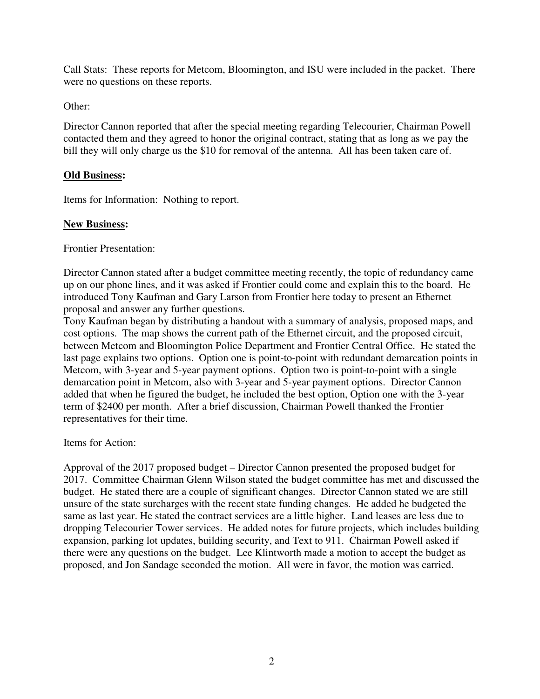Call Stats: These reports for Metcom, Bloomington, and ISU were included in the packet. There were no questions on these reports.

## Other:

Director Cannon reported that after the special meeting regarding Telecourier, Chairman Powell contacted them and they agreed to honor the original contract, stating that as long as we pay the bill they will only charge us the \$10 for removal of the antenna. All has been taken care of.

## **Old Business:**

Items for Information: Nothing to report.

## **New Business:**

Frontier Presentation:

Director Cannon stated after a budget committee meeting recently, the topic of redundancy came up on our phone lines, and it was asked if Frontier could come and explain this to the board. He introduced Tony Kaufman and Gary Larson from Frontier here today to present an Ethernet proposal and answer any further questions.

Tony Kaufman began by distributing a handout with a summary of analysis, proposed maps, and cost options. The map shows the current path of the Ethernet circuit, and the proposed circuit, between Metcom and Bloomington Police Department and Frontier Central Office. He stated the last page explains two options. Option one is point-to-point with redundant demarcation points in Metcom, with 3-year and 5-year payment options. Option two is point-to-point with a single demarcation point in Metcom, also with 3-year and 5-year payment options. Director Cannon added that when he figured the budget, he included the best option, Option one with the 3-year term of \$2400 per month. After a brief discussion, Chairman Powell thanked the Frontier representatives for their time.

Items for Action:

Approval of the 2017 proposed budget – Director Cannon presented the proposed budget for 2017. Committee Chairman Glenn Wilson stated the budget committee has met and discussed the budget. He stated there are a couple of significant changes. Director Cannon stated we are still unsure of the state surcharges with the recent state funding changes. He added he budgeted the same as last year. He stated the contract services are a little higher. Land leases are less due to dropping Telecourier Tower services. He added notes for future projects, which includes building expansion, parking lot updates, building security, and Text to 911. Chairman Powell asked if there were any questions on the budget. Lee Klintworth made a motion to accept the budget as proposed, and Jon Sandage seconded the motion. All were in favor, the motion was carried.